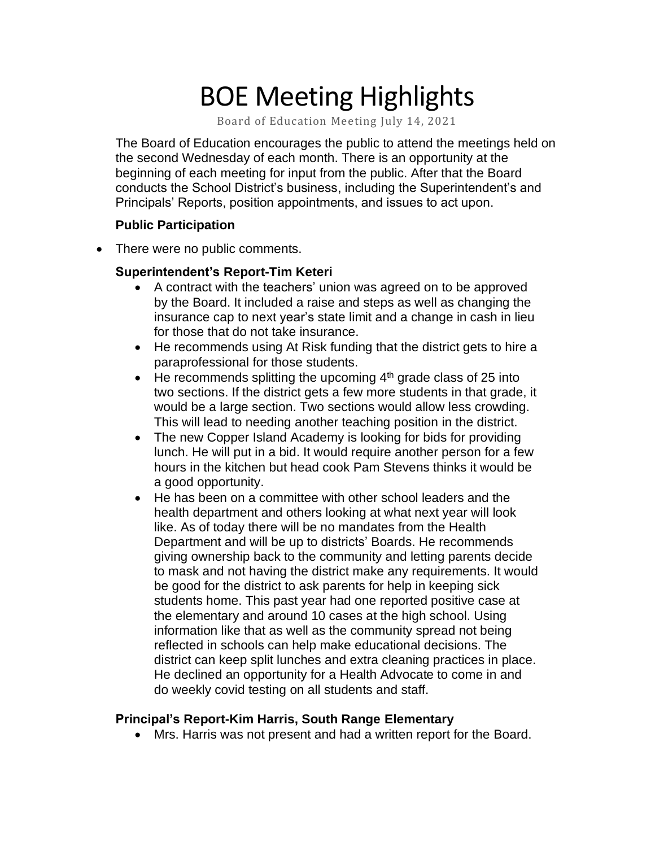# BOE Meeting Highlights

Board of Education Meeting July 14, 2021

 The Board of Education encourages the public to attend the meetings held on the second Wednesday of each month. There is an opportunity at the beginning of each meeting for input from the public. After that the Board conducts the School District's business, including the Superintendent's and Principals' Reports, position appointments, and issues to act upon.

### **Public Participation**

• There were no public comments.

### **Superintendent's Report-Tim Keteri**

- A contract with the teachers' union was agreed on to be approved by the Board. It included a raise and steps as well as changing the insurance cap to next year's state limit and a change in cash in lieu for those that do not take insurance.
- He recommends using At Risk funding that the district gets to hire a paraprofessional for those students.
- He recommends splitting the upcoming  $4<sup>th</sup>$  grade class of 25 into two sections. If the district gets a few more students in that grade, it would be a large section. Two sections would allow less crowding. This will lead to needing another teaching position in the district.
- The new Copper Island Academy is looking for bids for providing lunch. He will put in a bid. It would require another person for a few hours in the kitchen but head cook Pam Stevens thinks it would be a good opportunity.
- He has been on a committee with other school leaders and the health department and others looking at what next year will look like. As of today there will be no mandates from the Health Department and will be up to districts' Boards. He recommends giving ownership back to the community and letting parents decide to mask and not having the district make any requirements. It would be good for the district to ask parents for help in keeping sick students home. This past year had one reported positive case at the elementary and around 10 cases at the high school. Using information like that as well as the community spread not being reflected in schools can help make educational decisions. The district can keep split lunches and extra cleaning practices in place. He declined an opportunity for a Health Advocate to come in and do weekly covid testing on all students and staff.

# **Principal's Report-Kim Harris, South Range Elementary**

• Mrs. Harris was not present and had a written report for the Board.